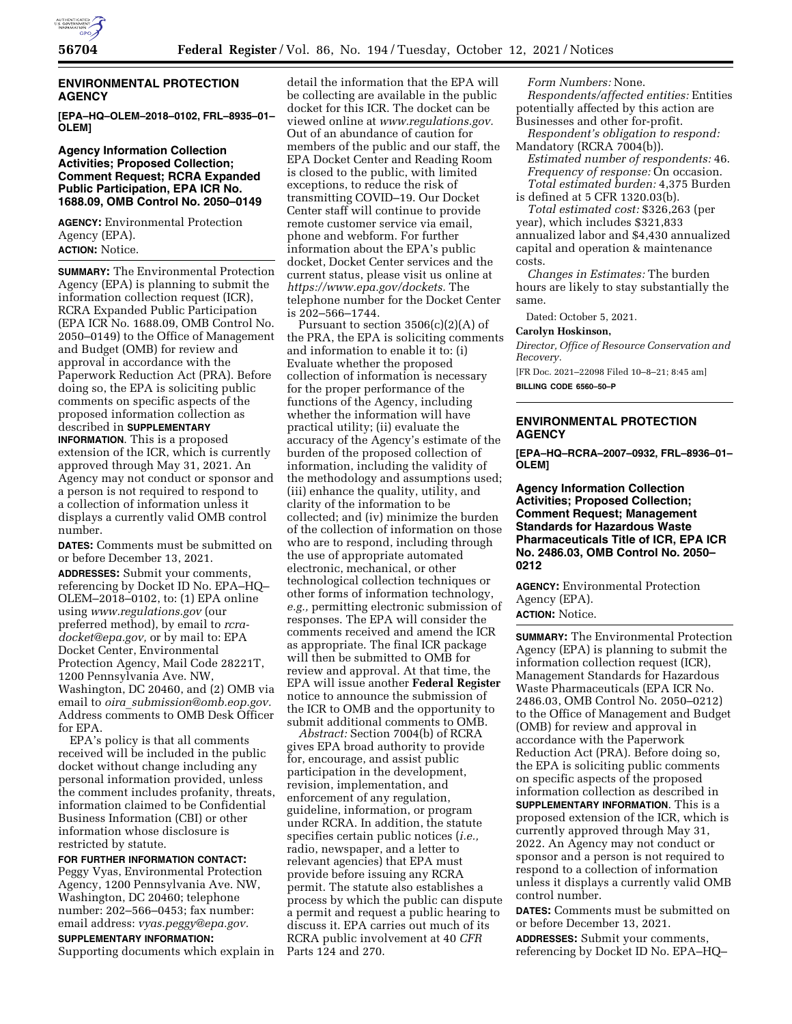

# **ENVIRONMENTAL PROTECTION AGENCY**

**[EPA–HQ–OLEM–2018–0102, FRL–8935–01– OLEM]** 

## **Agency Information Collection Activities; Proposed Collection; Comment Request; RCRA Expanded Public Participation, EPA ICR No. 1688.09, OMB Control No. 2050–0149**

**AGENCY:** Environmental Protection Agency (EPA). **ACTION:** Notice.

**SUMMARY:** The Environmental Protection Agency (EPA) is planning to submit the information collection request (ICR), RCRA Expanded Public Participation (EPA ICR No. 1688.09, OMB Control No. 2050–0149) to the Office of Management and Budget (OMB) for review and approval in accordance with the Paperwork Reduction Act (PRA). Before doing so, the EPA is soliciting public comments on specific aspects of the proposed information collection as described in **SUPPLEMENTARY**

**INFORMATION**. This is a proposed extension of the ICR, which is currently approved through May 31, 2021. An Agency may not conduct or sponsor and a person is not required to respond to a collection of information unless it displays a currently valid OMB control number.

**DATES:** Comments must be submitted on or before December 13, 2021.

**ADDRESSES:** Submit your comments, referencing by Docket ID No. EPA–HQ– OLEM–2018–0102, to: (1) EPA online using *[www.regulations.gov](http://www.regulations.gov)* (our preferred method), by email to *[rcra](mailto:rcra-docket@epa.gov)[docket@epa.gov,](mailto:rcra-docket@epa.gov)* or by mail to: EPA Docket Center, Environmental Protection Agency, Mail Code 28221T, 1200 Pennsylvania Ave. NW, Washington, DC 20460, and (2) OMB via email to *oira*\_*[submission@omb.eop.gov.](mailto:oira_submission@omb.eop.gov)*  Address comments to OMB Desk Officer for EPA.

EPA's policy is that all comments received will be included in the public docket without change including any personal information provided, unless the comment includes profanity, threats, information claimed to be Confidential Business Information (CBI) or other information whose disclosure is restricted by statute.

### **FOR FURTHER INFORMATION CONTACT:**

Peggy Vyas, Environmental Protection Agency, 1200 Pennsylvania Ave. NW, Washington, DC 20460; telephone number: 202–566–0453; fax number: email address: *[vyas.peggy@epa.gov.](mailto:vyas.peggy@epa.gov)* 

# **SUPPLEMENTARY INFORMATION:**

Supporting documents which explain in

detail the information that the EPA will be collecting are available in the public docket for this ICR. The docket can be viewed online at *[www.regulations.gov.](http://www.regulations.gov)*  Out of an abundance of caution for members of the public and our staff, the EPA Docket Center and Reading Room is closed to the public, with limited exceptions, to reduce the risk of transmitting COVID–19. Our Docket Center staff will continue to provide remote customer service via email, phone and webform. For further information about the EPA's public docket, Docket Center services and the current status, please visit us online at *[https://www.epa.gov/dockets.](https://www.epa.gov/dockets)* The telephone number for the Docket Center is 202–566–1744.

Pursuant to section 3506(c)(2)(A) of the PRA, the EPA is soliciting comments and information to enable it to: (i) Evaluate whether the proposed collection of information is necessary for the proper performance of the functions of the Agency, including whether the information will have practical utility; (ii) evaluate the accuracy of the Agency's estimate of the burden of the proposed collection of information, including the validity of the methodology and assumptions used; (iii) enhance the quality, utility, and clarity of the information to be collected; and (iv) minimize the burden of the collection of information on those who are to respond, including through the use of appropriate automated electronic, mechanical, or other technological collection techniques or other forms of information technology, *e.g.,* permitting electronic submission of responses. The EPA will consider the comments received and amend the ICR as appropriate. The final ICR package will then be submitted to OMB for review and approval. At that time, the EPA will issue another **Federal Register**  notice to announce the submission of the ICR to OMB and the opportunity to submit additional comments to OMB.

*Abstract:* Section 7004(b) of RCRA gives EPA broad authority to provide for, encourage, and assist public participation in the development, revision, implementation, and enforcement of any regulation, guideline, information, or program under RCRA. In addition, the statute specifies certain public notices (*i.e.,*  radio, newspaper, and a letter to relevant agencies) that EPA must provide before issuing any RCRA permit. The statute also establishes a process by which the public can dispute a permit and request a public hearing to discuss it. EPA carries out much of its RCRA public involvement at 40 *CFR*  Parts 124 and 270.

*Form Numbers:* None. *Respondents/affected entities:* Entities potentially affected by this action are Businesses and other for-profit.

*Respondent's obligation to respond:*  Mandatory (RCRA 7004(b)).

- *Estimated number of respondents:* 46. *Frequency of response:* On occasion. *Total estimated burden:* 4,375 Burden
- is defined at 5 CFR 1320.03(b). *Total estimated cost:* \$326,263 (per year), which includes \$321,833

annualized labor and \$4,430 annualized capital and operation & maintenance costs.

*Changes in Estimates:* The burden hours are likely to stay substantially the same.

Dated: October 5, 2021.

#### **Carolyn Hoskinson,**

*Director, Office of Resource Conservation and Recovery.* 

[FR Doc. 2021–22098 Filed 10–8–21; 8:45 am] **BILLING CODE 6560–50–P** 

# **ENVIRONMENTAL PROTECTION AGENCY**

**[EPA–HQ–RCRA–2007–0932, FRL–8936–01– OLEM]** 

**Agency Information Collection Activities; Proposed Collection; Comment Request; Management Standards for Hazardous Waste Pharmaceuticals Title of ICR, EPA ICR No. 2486.03, OMB Control No. 2050– 0212** 

**AGENCY:** Environmental Protection Agency (EPA).

# **ACTION:** Notice.

**SUMMARY:** The Environmental Protection Agency (EPA) is planning to submit the information collection request (ICR), Management Standards for Hazardous Waste Pharmaceuticals (EPA ICR No. 2486.03, OMB Control No. 2050–0212) to the Office of Management and Budget (OMB) for review and approval in accordance with the Paperwork Reduction Act (PRA). Before doing so, the EPA is soliciting public comments on specific aspects of the proposed information collection as described in **SUPPLEMENTARY INFORMATION**. This is a proposed extension of the ICR, which is currently approved through May 31, 2022. An Agency may not conduct or sponsor and a person is not required to respond to a collection of information unless it displays a currently valid OMB control number.

**DATES:** Comments must be submitted on or before December 13, 2021.

**ADDRESSES:** Submit your comments, referencing by Docket ID No. EPA–HQ–